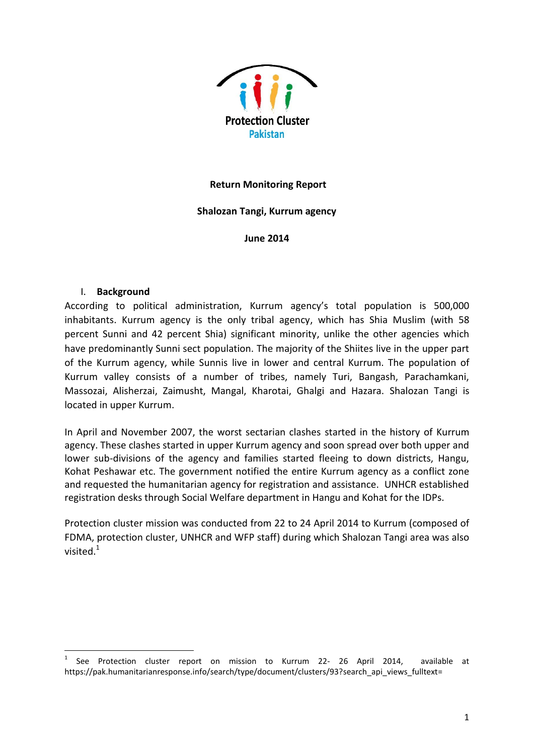

### **Return Monitoring Report**

## **Shalozan Tangi, Kurrum agency**

**June 2014**

### I. **Background**

**.** 

According to political administration, Kurrum agency's total population is 500,000 inhabitants. Kurrum agency is the only tribal agency, which has Shia Muslim (with 58 percent Sunni and 42 percent Shia) significant minority, unlike the other agencies which have predominantly Sunni sect population. The majority of the Shiites live in the upper part of the Kurrum agency, while Sunnis live in lower and central Kurrum. The population of Kurrum valley consists of a number of tribes, namely Turi, Bangash, Parachamkani, Massozai, Alisherzai, Zaimusht, Mangal, Kharotai, Ghalgi and Hazara. Shalozan Tangi is located in upper Kurrum.

In April and November 2007, the worst sectarian clashes started in the history of Kurrum agency. These clashes started in upper Kurrum agency and soon spread over both upper and lower sub-divisions of the agency and families started fleeing to down districts, Hangu, Kohat Peshawar etc. The government notified the entire Kurrum agency as a conflict zone and requested the humanitarian agency for registration and assistance. UNHCR established registration desks through Social Welfare department in Hangu and Kohat for the IDPs.

Protection cluster mission was conducted from 22 to 24 April 2014 to Kurrum (composed of FDMA, protection cluster, UNHCR and WFP staff) during which Shalozan Tangi area was also visited. $1$ 

<sup>1</sup> See Protection cluster report on mission to Kurrum 22- 26 April 2014, available at [https://pak.humanitarianresponse.info/search/type/document/clusters/93?search\\_api\\_views\\_fulltext=](https://pak.humanitarianresponse.info/search/type/document/clusters/93?search_api_views_fulltext)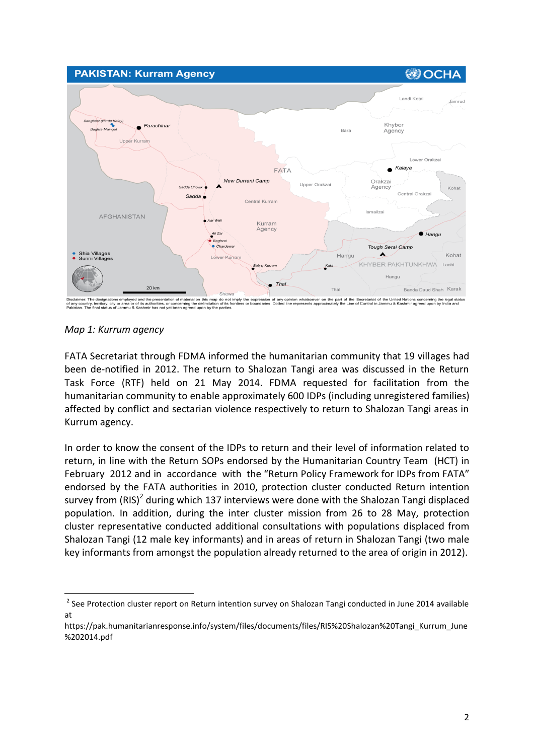

*Map 1: Kurrum agency*

**.** 

FATA Secretariat through FDMA informed the humanitarian community that 19 villages had been de-notified in 2012. The return to Shalozan Tangi area was discussed in the Return Task Force (RTF) held on 21 May 2014. FDMA requested for facilitation from the humanitarian community to enable approximately 600 IDPs (including unregistered families) affected by conflict and sectarian violence respectively to return to Shalozan Tangi areas in Kurrum agency.

In order to know the consent of the IDPs to return and their level of information related to return, in line with the Return SOPs endorsed by the Humanitarian Country Team (HCT) in February 2012 and in accordance with the "Return Policy Framework for IDPs from FATA" endorsed by the FATA authorities in 2010, protection cluster conducted Return intention survey from (RIS)<sup>2</sup> during which 137 interviews were done with the Shalozan Tangi displaced population. In addition, during the inter cluster mission from 26 to 28 May, protection cluster representative conducted additional consultations with populations displaced from Shalozan Tangi (12 male key informants) and in areas of return in Shalozan Tangi (two male key informants from amongst the population already returned to the area of origin in 2012).

<sup>&</sup>lt;sup>2</sup> See Protection cluster report on Return intention survey on Shalozan Tangi conducted in June 2014 available at

[https://pak.humanitarianresponse.info/system/files/documents/files/RIS%20Shalozan%20Tangi\\_Kurrum\\_June](https://pak.humanitarianresponse.info/system/files/documents/files/RIS%20Shalozan%20Tangi_Kurrum_June%202014.pdf) [%202014.pdf](https://pak.humanitarianresponse.info/system/files/documents/files/RIS%20Shalozan%20Tangi_Kurrum_June%202014.pdf)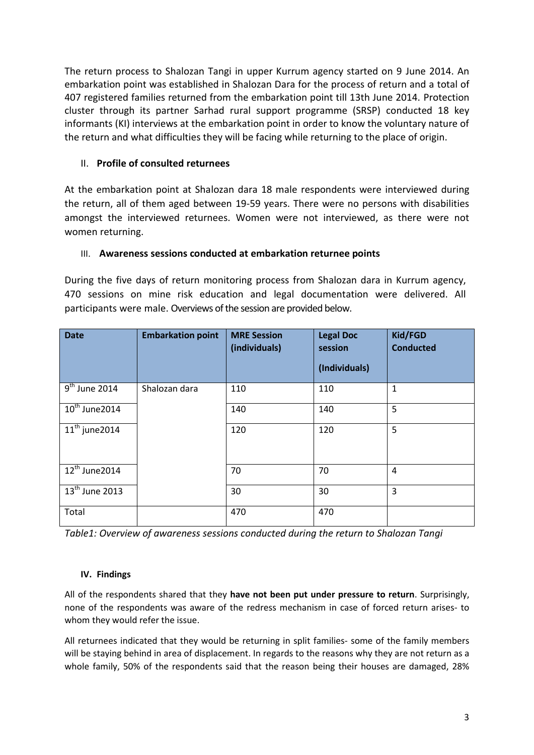The return process to Shalozan Tangi in upper Kurrum agency started on 9 June 2014. An embarkation point was established in Shalozan Dara for the process of return and a total of 407 registered families returned from the embarkation point till 13th June 2014. Protection cluster through its partner Sarhad rural support programme (SRSP) conducted 18 key informants (KI) interviews at the embarkation point in order to know the voluntary nature of the return and what difficulties they will be facing while returning to the place of origin.

# II. **Profile of consulted returnees**

At the embarkation point at Shalozan dara 18 male respondents were interviewed during the return, all of them aged between 19-59 years. There were no persons with disabilities amongst the interviewed returnees. Women were not interviewed, as there were not women returning.

## III. **Awareness sessions conducted at embarkation returnee points**

During the five days of return monitoring process from Shalozan dara in Kurrum agency, 470 sessions on mine risk education and legal documentation were delivered. All participants were male. Overviews of the session are provided below.

| <b>Date</b>                             | <b>Embarkation point</b> | <b>MRE Session</b><br>(individuals) | <b>Legal Doc</b><br>session<br>(Individuals) | Kid/FGD<br><b>Conducted</b> |
|-----------------------------------------|--------------------------|-------------------------------------|----------------------------------------------|-----------------------------|
| $9th$ June 2014                         | Shalozan dara            | 110                                 | 110                                          | $\mathbf 1$                 |
| $10^{th}$ June 2014                     |                          | 140                                 | 140                                          | 5                           |
| $11th$ june 2014                        |                          | 120                                 | 120                                          | 5                           |
| $12^{th}$ June 2014                     |                          | 70                                  | 70                                           | $\overline{4}$              |
| $\overline{13}$ <sup>th</sup> June 2013 |                          | 30                                  | 30                                           | 3                           |
| Total                                   |                          | 470                                 | 470                                          |                             |

*Table1: Overview of awareness sessions conducted during the return to Shalozan Tangi*

### **IV. Findings**

All of the respondents shared that they **have not been put under pressure to return**. Surprisingly, none of the respondents was aware of the redress mechanism in case of forced return arises- to whom they would refer the issue.

All returnees indicated that they would be returning in split families- some of the family members will be staying behind in area of displacement. In regards to the reasons why they are not return as a whole family, 50% of the respondents said that the reason being their houses are damaged, 28%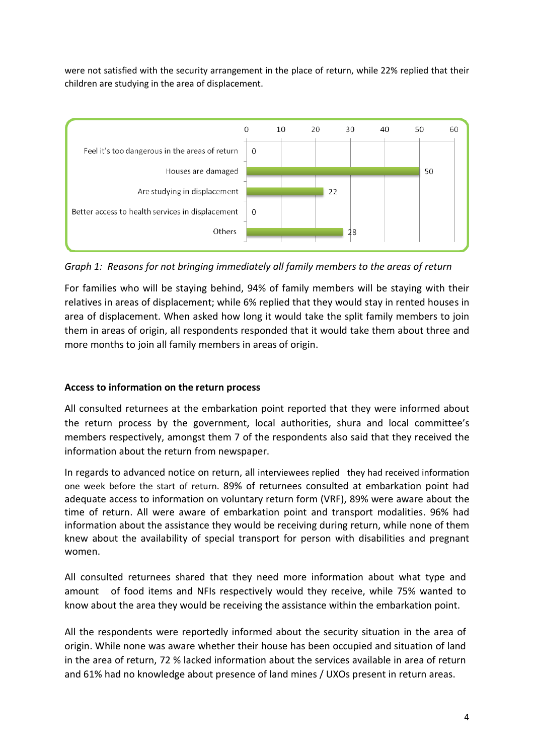were not satisfied with the security arrangement in the place of return, while 22% replied that their children are studying in the area of displacement.



*Graph 1: Reasons for not bringing immediately all family members to the areas of return*

For families who will be staying behind, 94% of family members will be staying with their relatives in areas of displacement; while 6% replied that they would stay in rented houses in area of displacement. When asked how long it would take the split family members to join them in areas of origin, all respondents responded that it would take them about three and more months to join all family members in areas of origin.

# **Access to information on the return process**

All consulted returnees at the embarkation point reported that they were informed about the return process by the government, local authorities, shura and local committee's members respectively, amongst them 7 of the respondents also said that they received the information about the return from newspaper.

In regards to advanced notice on return, all interviewees replied they had received information one week before the start of return. 89% of returnees consulted at embarkation point had adequate access to information on voluntary return form (VRF), 89% were aware about the time of return. All were aware of embarkation point and transport modalities. 96% had information about the assistance they would be receiving during return, while none of them knew about the availability of special transport for person with disabilities and pregnant women.

All consulted returnees shared that they need more information about what type and amount of food items and NFIs respectively would they receive, while 75% wanted to know about the area they would be receiving the assistance within the embarkation point.

All the respondents were reportedly informed about the security situation in the area of origin. While none was aware whether their house has been occupied and situation of land in the area of return, 72 % lacked information about the services available in area of return and 61% had no knowledge about presence of land mines / UXOs present in return areas.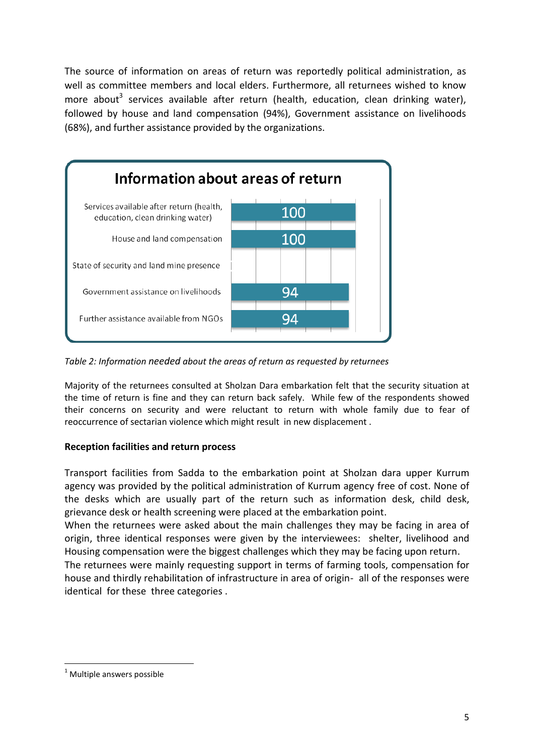The source of information on areas of return was reportedly political administration, as well as committee members and local elders. Furthermore, all returnees wished to know more about<sup>3</sup> services available after return (health, education, clean drinking water), followed by house and land compensation (94%), Government assistance on livelihoods (68%), and further assistance provided by the organizations.



*Table 2: Information needed about the areas of return as requested by returnees*

Majority of the returnees consulted at Sholzan Dara embarkation felt that the security situation at the time of return is fine and they can return back safely. While few of the respondents showed their concerns on security and were reluctant to return with whole family due to fear of reoccurrence of sectarian violence which might result in new displacement .

# **Reception facilities and return process**

Transport facilities from Sadda to the embarkation point at Sholzan dara upper Kurrum agency was provided by the political administration of Kurrum agency free of cost. None of the desks which are usually part of the return such as information desk, child desk, grievance desk or health screening were placed at the embarkation point.

When the returnees were asked about the main challenges they may be facing in area of origin, three identical responses were given by the interviewees: shelter, livelihood and Housing compensation were the biggest challenges which they may be facing upon return.

The returnees were mainly requesting support in terms of farming tools, compensation for house and thirdly rehabilitation of infrastructure in area of origin- all of the responses were identical for these three categories .

1

 $1$  Multiple answers possible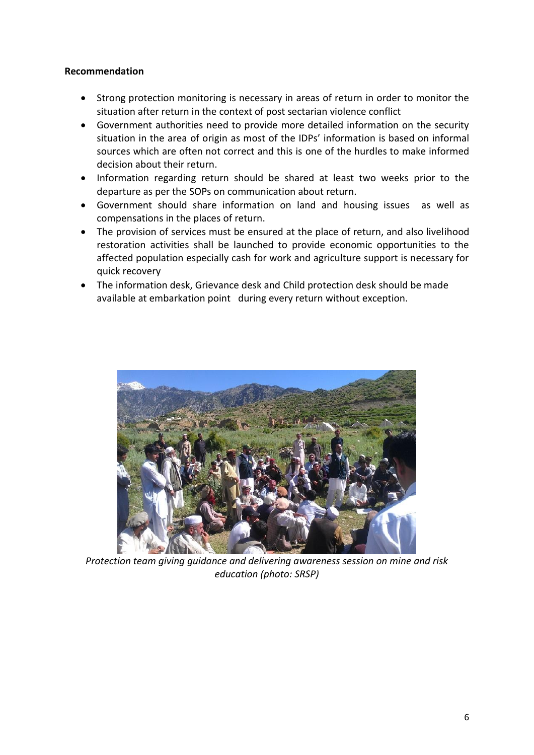# **Recommendation**

- Strong protection monitoring is necessary in areas of return in order to monitor the situation after return in the context of post sectarian violence conflict
- Government authorities need to provide more detailed information on the security situation in the area of origin as most of the IDPs' information is based on informal sources which are often not correct and this is one of the hurdles to make informed decision about their return.
- Information regarding return should be shared at least two weeks prior to the departure as per the SOPs on communication about return.
- Government should share information on land and housing issues as well as compensations in the places of return.
- The provision of services must be ensured at the place of return, and also livelihood restoration activities shall be launched to provide economic opportunities to the affected population especially cash for work and agriculture support is necessary for quick recovery
- The information desk, Grievance desk and Child protection desk should be made available at embarkation point during every return without exception.



*Protection team giving guidance and delivering awareness session on mine and risk education (photo: SRSP)*